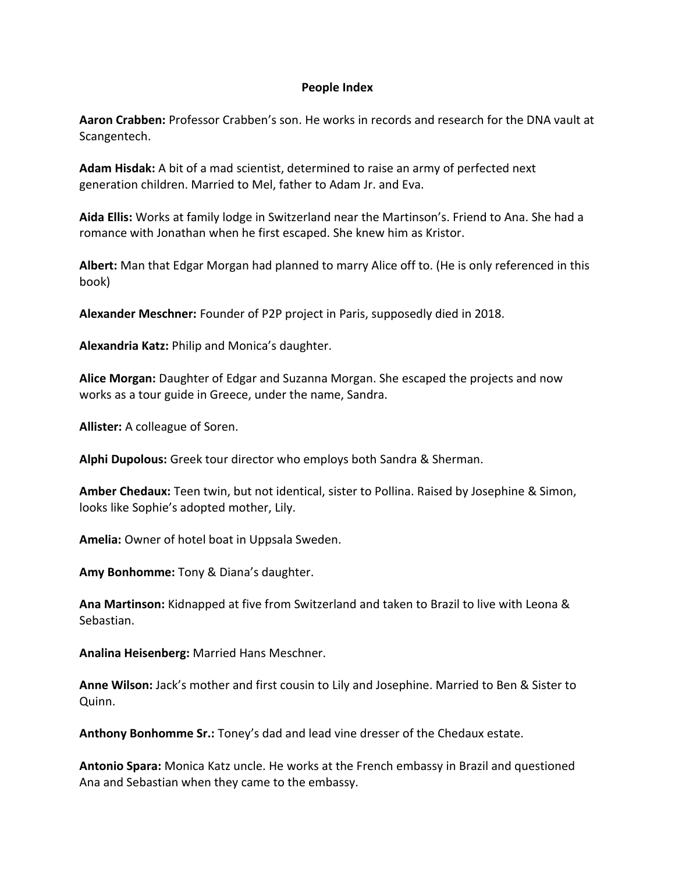## **People Index**

**Aaron Crabben:** Professor Crabben's son. He works in records and research for the DNA vault at Scangentech.

**Adam Hisdak:** A bit of a mad scientist, determined to raise an army of perfected next generation children. Married to Mel, father to Adam Jr. and Eva.

**Aida Ellis:** Works at family lodge in Switzerland near the Martinson's. Friend to Ana. She had a romance with Jonathan when he first escaped. She knew him as Kristor.

**Albert:** Man that Edgar Morgan had planned to marry Alice off to. (He is only referenced in this book)

**Alexander Meschner:** Founder of P2P project in Paris, supposedly died in 2018.

**Alexandria Katz:** Philip and Monica's daughter.

**Alice Morgan:** Daughter of Edgar and Suzanna Morgan. She escaped the projects and now works as a tour guide in Greece, under the name, Sandra.

**Allister:** A colleague of Soren.

**Alphi Dupolous:** Greek tour director who employs both Sandra & Sherman.

**Amber Chedaux:** Teen twin, but not identical, sister to Pollina. Raised by Josephine & Simon, looks like Sophie's adopted mother, Lily.

**Amelia:** Owner of hotel boat in Uppsala Sweden.

**Amy Bonhomme:** Tony & Diana's daughter.

**Ana Martinson:** Kidnapped at five from Switzerland and taken to Brazil to live with Leona & Sebastian.

**Analina Heisenberg:** Married Hans Meschner.

**Anne Wilson:** Jack's mother and first cousin to Lily and Josephine. Married to Ben & Sister to Quinn.

**Anthony Bonhomme Sr.:** Toney's dad and lead vine dresser of the Chedaux estate.

**Antonio Spara:** Monica Katz uncle. He works at the French embassy in Brazil and questioned Ana and Sebastian when they came to the embassy.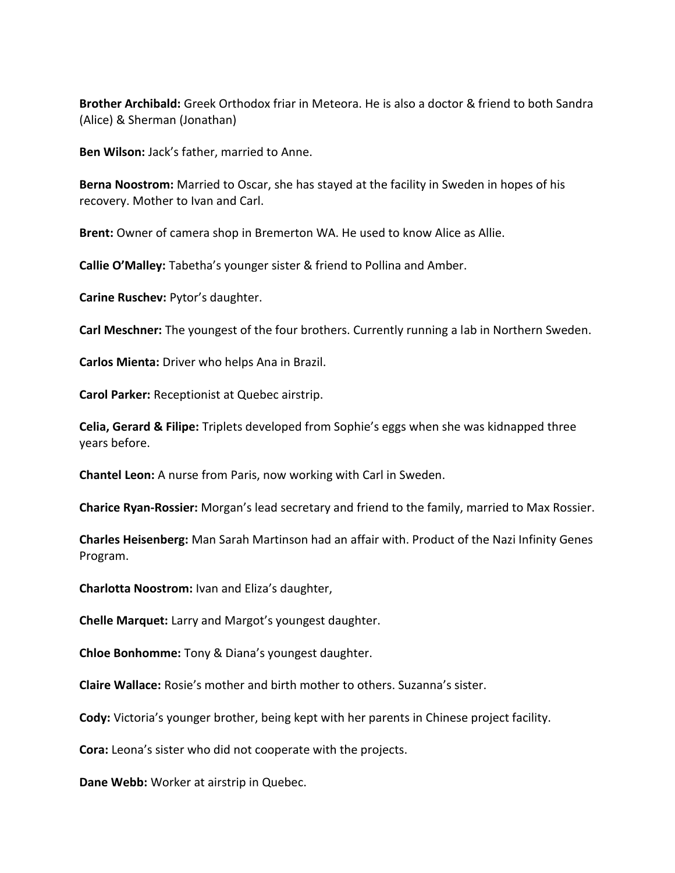**Brother Archibald:** Greek Orthodox friar in Meteora. He is also a doctor & friend to both Sandra (Alice) & Sherman (Jonathan)

**Ben Wilson:** Jack's father, married to Anne.

**Berna Noostrom:** Married to Oscar, she has stayed at the facility in Sweden in hopes of his recovery. Mother to Ivan and Carl.

**Brent:** Owner of camera shop in Bremerton WA. He used to know Alice as Allie.

**Callie O'Malley:** Tabetha's younger sister & friend to Pollina and Amber.

**Carine Ruschev:** Pytor's daughter.

**Carl Meschner:** The youngest of the four brothers. Currently running a lab in Northern Sweden.

**Carlos Mienta:** Driver who helps Ana in Brazil.

**Carol Parker:** Receptionist at Quebec airstrip.

**Celia, Gerard & Filipe:** Triplets developed from Sophie's eggs when she was kidnapped three years before.

**Chantel Leon:** A nurse from Paris, now working with Carl in Sweden.

**Charice Ryan-Rossier:** Morgan's lead secretary and friend to the family, married to Max Rossier.

**Charles Heisenberg:** Man Sarah Martinson had an affair with. Product of the Nazi Infinity Genes Program.

**Charlotta Noostrom:** Ivan and Eliza's daughter,

**Chelle Marquet:** Larry and Margot's youngest daughter.

**Chloe Bonhomme:** Tony & Diana's youngest daughter.

**Claire Wallace:** Rosie's mother and birth mother to others. Suzanna's sister.

**Cody:** Victoria's younger brother, being kept with her parents in Chinese project facility.

**Cora:** Leona's sister who did not cooperate with the projects.

**Dane Webb:** Worker at airstrip in Quebec.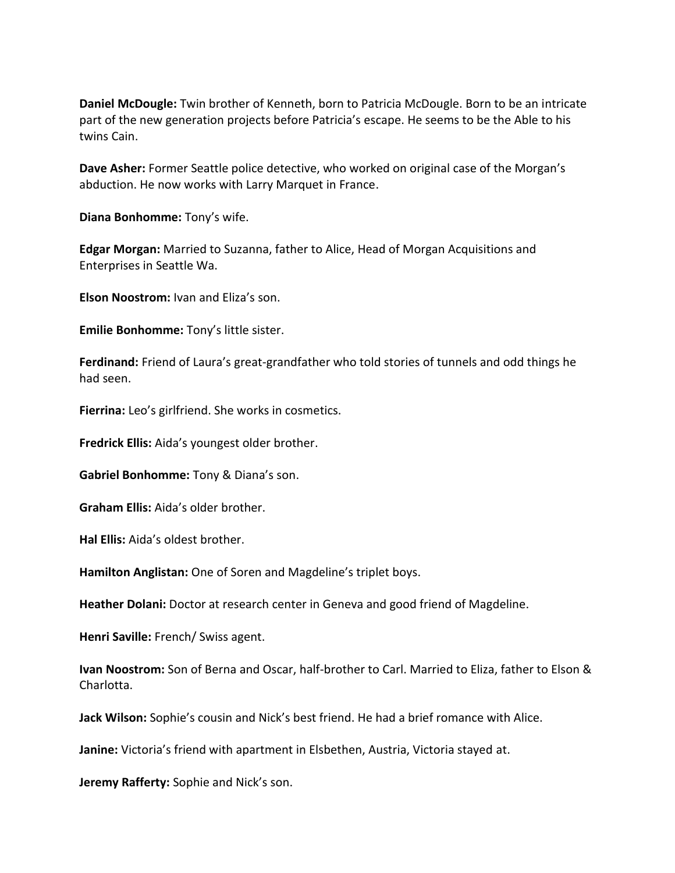**Daniel McDougle:** Twin brother of Kenneth, born to Patricia McDougle. Born to be an intricate part of the new generation projects before Patricia's escape. He seems to be the Able to his twins Cain.

**Dave Asher:** Former Seattle police detective, who worked on original case of the Morgan's abduction. He now works with Larry Marquet in France.

**Diana Bonhomme:** Tony's wife.

**Edgar Morgan:** Married to Suzanna, father to Alice, Head of Morgan Acquisitions and Enterprises in Seattle Wa.

**Elson Noostrom:** Ivan and Eliza's son.

**Emilie Bonhomme:** Tony's little sister.

**Ferdinand:** Friend of Laura's great-grandfather who told stories of tunnels and odd things he had seen.

**Fierrina:** Leo's girlfriend. She works in cosmetics.

**Fredrick Ellis:** Aida's youngest older brother.

**Gabriel Bonhomme:** Tony & Diana's son.

**Graham Ellis:** Aida's older brother.

**Hal Ellis:** Aida's oldest brother.

**Hamilton Anglistan:** One of Soren and Magdeline's triplet boys.

**Heather Dolani:** Doctor at research center in Geneva and good friend of Magdeline.

**Henri Saville:** French/ Swiss agent.

**Ivan Noostrom:** Son of Berna and Oscar, half-brother to Carl. Married to Eliza, father to Elson & Charlotta.

**Jack Wilson:** Sophie's cousin and Nick's best friend. He had a brief romance with Alice.

**Janine:** Victoria's friend with apartment in Elsbethen, Austria, Victoria stayed at.

**Jeremy Rafferty:** Sophie and Nick's son.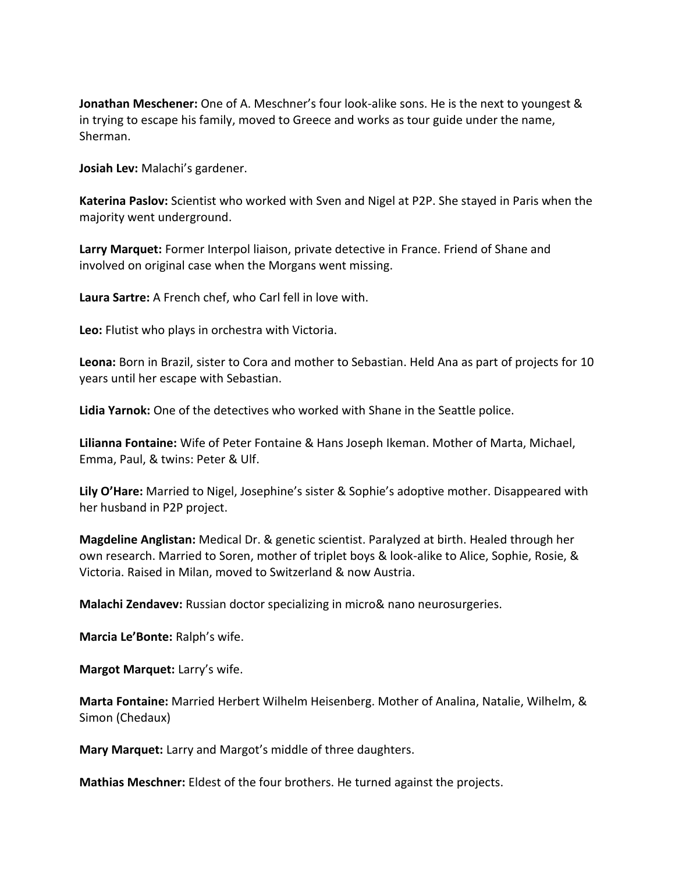**Jonathan Meschener:** One of A. Meschner's four look-alike sons. He is the next to youngest & in trying to escape his family, moved to Greece and works as tour guide under the name, Sherman.

**Josiah Lev:** Malachi's gardener.

**Katerina Paslov:** Scientist who worked with Sven and Nigel at P2P. She stayed in Paris when the majority went underground.

**Larry Marquet:** Former Interpol liaison, private detective in France. Friend of Shane and involved on original case when the Morgans went missing.

**Laura Sartre:** A French chef, who Carl fell in love with.

**Leo:** Flutist who plays in orchestra with Victoria.

**Leona:** Born in Brazil, sister to Cora and mother to Sebastian. Held Ana as part of projects for 10 years until her escape with Sebastian.

**Lidia Yarnok:** One of the detectives who worked with Shane in the Seattle police.

**Lilianna Fontaine:** Wife of Peter Fontaine & Hans Joseph Ikeman. Mother of Marta, Michael, Emma, Paul, & twins: Peter & Ulf.

**Lily O'Hare:** Married to Nigel, Josephine's sister & Sophie's adoptive mother. Disappeared with her husband in P2P project.

**Magdeline Anglistan:** Medical Dr. & genetic scientist. Paralyzed at birth. Healed through her own research. Married to Soren, mother of triplet boys & look-alike to Alice, Sophie, Rosie, & Victoria. Raised in Milan, moved to Switzerland & now Austria.

**Malachi Zendavev:** Russian doctor specializing in micro& nano neurosurgeries.

**Marcia Le'Bonte:** Ralph's wife.

**Margot Marquet:** Larry's wife.

**Marta Fontaine:** Married Herbert Wilhelm Heisenberg. Mother of Analina, Natalie, Wilhelm, & Simon (Chedaux)

**Mary Marquet:** Larry and Margot's middle of three daughters.

**Mathias Meschner:** Eldest of the four brothers. He turned against the projects.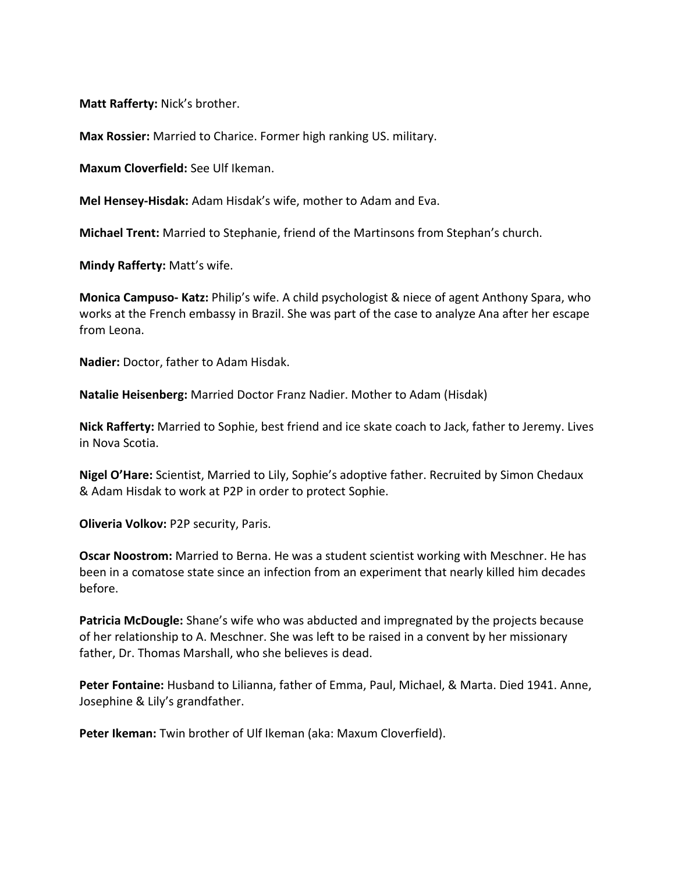**Matt Rafferty:** Nick's brother.

**Max Rossier:** Married to Charice. Former high ranking US. military.

**Maxum Cloverfield:** See Ulf Ikeman.

**Mel Hensey-Hisdak:** Adam Hisdak's wife, mother to Adam and Eva.

**Michael Trent:** Married to Stephanie, friend of the Martinsons from Stephan's church.

**Mindy Rafferty:** Matt's wife.

**Monica Campuso- Katz:** Philip's wife. A child psychologist & niece of agent Anthony Spara, who works at the French embassy in Brazil. She was part of the case to analyze Ana after her escape from Leona.

**Nadier:** Doctor, father to Adam Hisdak.

**Natalie Heisenberg:** Married Doctor Franz Nadier. Mother to Adam (Hisdak)

**Nick Rafferty:** Married to Sophie, best friend and ice skate coach to Jack, father to Jeremy. Lives in Nova Scotia.

**Nigel O'Hare:** Scientist, Married to Lily, Sophie's adoptive father. Recruited by Simon Chedaux & Adam Hisdak to work at P2P in order to protect Sophie.

**Oliveria Volkov:** P2P security, Paris.

**Oscar Noostrom:** Married to Berna. He was a student scientist working with Meschner. He has been in a comatose state since an infection from an experiment that nearly killed him decades before.

**Patricia McDougle:** Shane's wife who was abducted and impregnated by the projects because of her relationship to A. Meschner. She was left to be raised in a convent by her missionary father, Dr. Thomas Marshall, who she believes is dead.

**Peter Fontaine:** Husband to Lilianna, father of Emma, Paul, Michael, & Marta. Died 1941. Anne, Josephine & Lily's grandfather.

**Peter Ikeman:** Twin brother of Ulf Ikeman (aka: Maxum Cloverfield).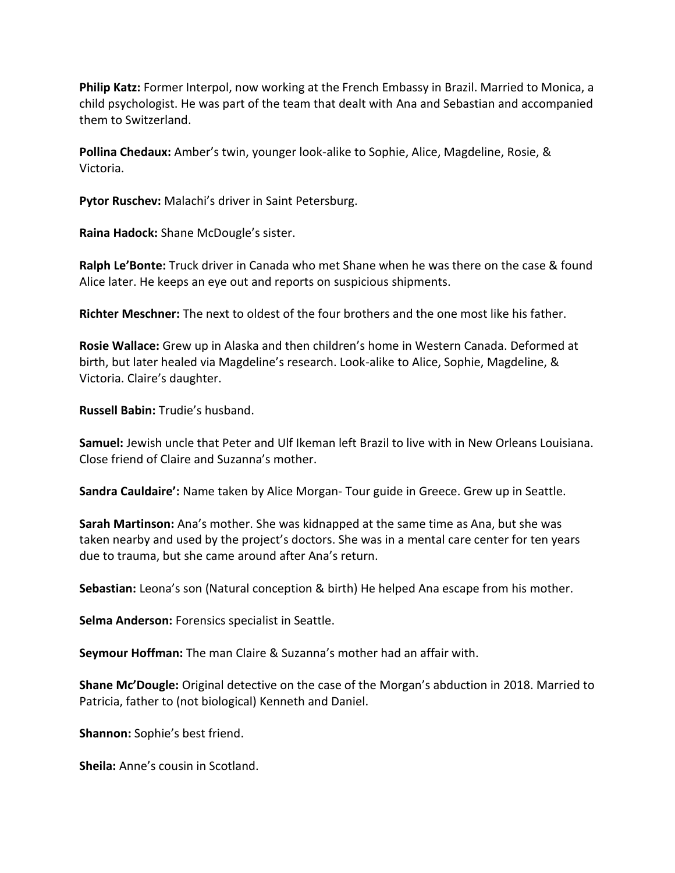**Philip Katz:** Former Interpol, now working at the French Embassy in Brazil. Married to Monica, a child psychologist. He was part of the team that dealt with Ana and Sebastian and accompanied them to Switzerland.

**Pollina Chedaux:** Amber's twin, younger look-alike to Sophie, Alice, Magdeline, Rosie, & Victoria.

**Pytor Ruschev:** Malachi's driver in Saint Petersburg.

**Raina Hadock:** Shane McDougle's sister.

**Ralph Le'Bonte:** Truck driver in Canada who met Shane when he was there on the case & found Alice later. He keeps an eye out and reports on suspicious shipments.

**Richter Meschner:** The next to oldest of the four brothers and the one most like his father.

**Rosie Wallace:** Grew up in Alaska and then children's home in Western Canada. Deformed at birth, but later healed via Magdeline's research. Look-alike to Alice, Sophie, Magdeline, & Victoria. Claire's daughter.

**Russell Babin:** Trudie's husband.

**Samuel:** Jewish uncle that Peter and Ulf Ikeman left Brazil to live with in New Orleans Louisiana. Close friend of Claire and Suzanna's mother.

**Sandra Cauldaire':** Name taken by Alice Morgan- Tour guide in Greece. Grew up in Seattle.

**Sarah Martinson:** Ana's mother. She was kidnapped at the same time as Ana, but she was taken nearby and used by the project's doctors. She was in a mental care center for ten years due to trauma, but she came around after Ana's return.

**Sebastian:** Leona's son (Natural conception & birth) He helped Ana escape from his mother.

**Selma Anderson:** Forensics specialist in Seattle.

**Seymour Hoffman:** The man Claire & Suzanna's mother had an affair with.

**Shane Mc'Dougle:** Original detective on the case of the Morgan's abduction in 2018. Married to Patricia, father to (not biological) Kenneth and Daniel.

**Shannon:** Sophie's best friend.

**Sheila:** Anne's cousin in Scotland.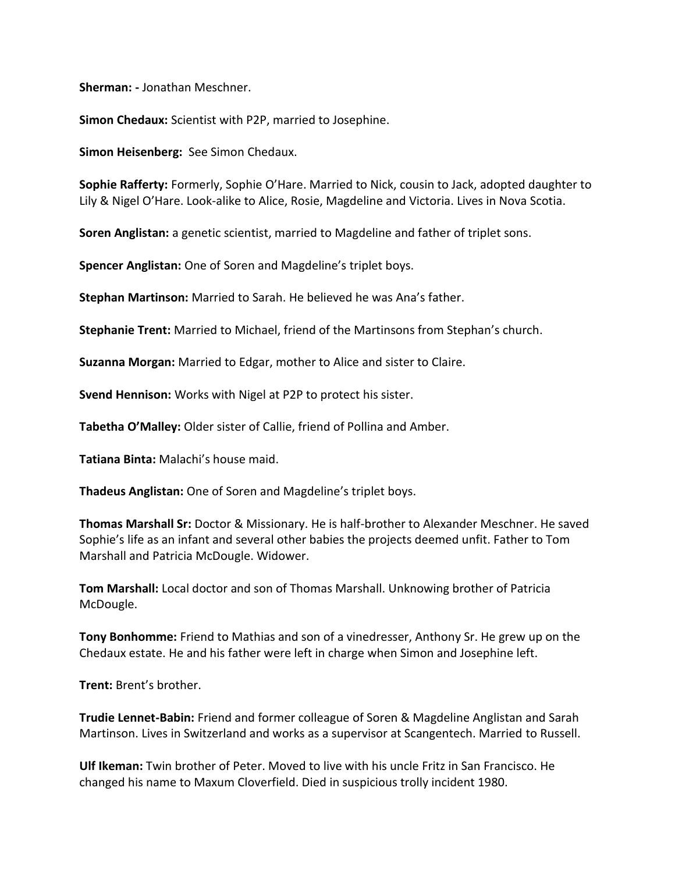**Sherman: -** Jonathan Meschner.

**Simon Chedaux:** Scientist with P2P, married to Josephine.

**Simon Heisenberg:** See Simon Chedaux.

**Sophie Rafferty:** Formerly, Sophie O'Hare. Married to Nick, cousin to Jack, adopted daughter to Lily & Nigel O'Hare. Look-alike to Alice, Rosie, Magdeline and Victoria. Lives in Nova Scotia.

**Soren Anglistan:** a genetic scientist, married to Magdeline and father of triplet sons.

**Spencer Anglistan:** One of Soren and Magdeline's triplet boys.

**Stephan Martinson:** Married to Sarah. He believed he was Ana's father.

**Stephanie Trent:** Married to Michael, friend of the Martinsons from Stephan's church.

**Suzanna Morgan:** Married to Edgar, mother to Alice and sister to Claire.

**Svend Hennison:** Works with Nigel at P2P to protect his sister.

**Tabetha O'Malley:** Older sister of Callie, friend of Pollina and Amber.

**Tatiana Binta:** Malachi's house maid.

**Thadeus Anglistan:** One of Soren and Magdeline's triplet boys.

**Thomas Marshall Sr:** Doctor & Missionary. He is half-brother to Alexander Meschner. He saved Sophie's life as an infant and several other babies the projects deemed unfit. Father to Tom Marshall and Patricia McDougle. Widower.

**Tom Marshall:** Local doctor and son of Thomas Marshall. Unknowing brother of Patricia McDougle.

**Tony Bonhomme:** Friend to Mathias and son of a vinedresser, Anthony Sr. He grew up on the Chedaux estate. He and his father were left in charge when Simon and Josephine left.

**Trent:** Brent's brother.

**Trudie Lennet-Babin:** Friend and former colleague of Soren & Magdeline Anglistan and Sarah Martinson. Lives in Switzerland and works as a supervisor at Scangentech. Married to Russell.

**Ulf Ikeman:** Twin brother of Peter. Moved to live with his uncle Fritz in San Francisco. He changed his name to Maxum Cloverfield. Died in suspicious trolly incident 1980.